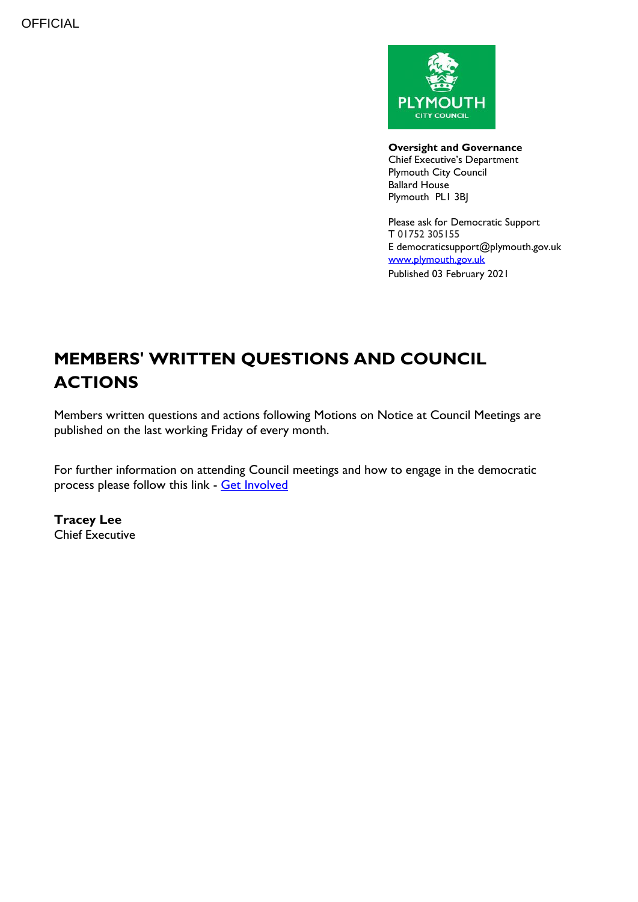

**Oversight and Governance** Chief Executive's Department Plymouth City Council Ballard House Plymouth PL1 3BJ

Please ask for Democratic Support T 01752 305155 E democraticsupport@plymouth.gov.uk [www.plymouth.gov.uk](https://www.plymouth.gov.uk/councillorscommitteesandmeetings) Published 03 February 2021

# **MEMBERS' WRITTEN QUESTIONS AND COUNCIL ACTIONS**

Members written questions and actions following Motions on Notice at Council Meetings are published on the last working Friday of every month.

For further information on attending Council meetings and how to engage in the democratic process please follow this link - [Get Involved](https://www.plymouth.gov.uk/councillorscommitteesandmeetings/getinvolved)

**Tracey Lee** Chief Executive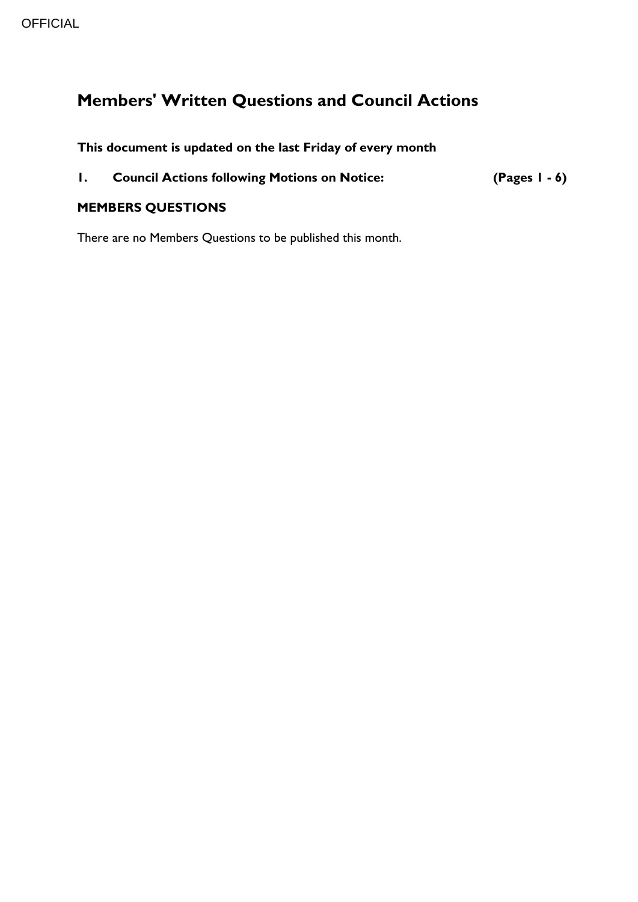# **Members' Written Questions and Council Actions**

**This document is updated on the last Friday of every month**

|  | <b>Council Actions following Motions on Notice:</b> | $(Pages 1 - 6)$ |
|--|-----------------------------------------------------|-----------------|
|--|-----------------------------------------------------|-----------------|

### **MEMBERS QUESTIONS**

There are no Members Questions to be published this month.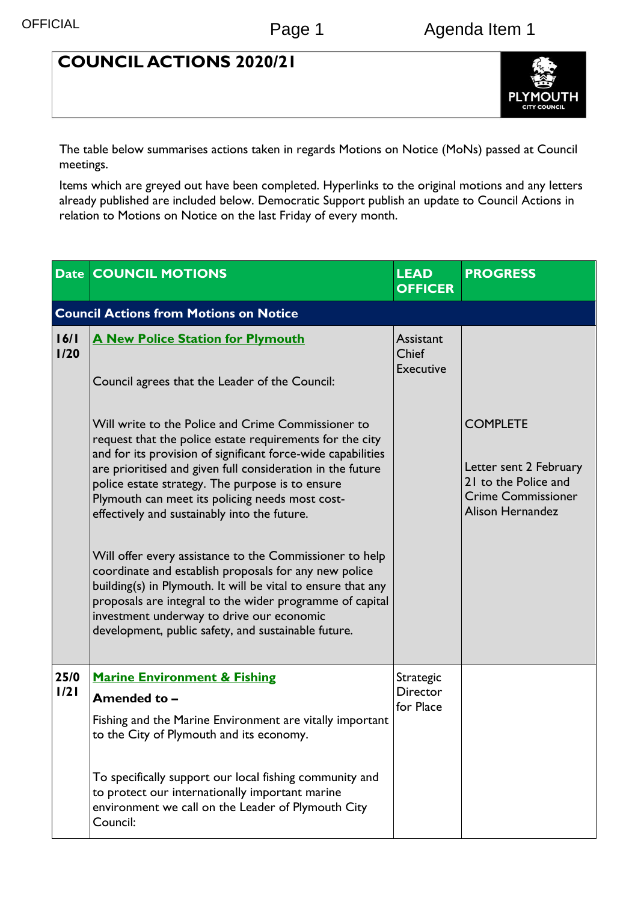### **COUNCIL ACTIONS 2020/21**



The table below summarises actions taken in regards Motions on Notice (MoNs) passed at Council meetings.

Items which are greyed out have been completed. Hyperlinks to the original motions and any letters already published are included below. Democratic Support publish an update to Council Actions in relation to Motions on Notice on the last Friday of every month.

|              | <b>Date COUNCIL MOTIONS</b>                                                                                                                                                                                                                                                                                                                                                                                                                                                                                                                                                                                                                                                                                                                             | <b>LEAD</b><br><b>OFFICER</b>                 | <b>PROGRESS</b>                                                                                                           |
|--------------|---------------------------------------------------------------------------------------------------------------------------------------------------------------------------------------------------------------------------------------------------------------------------------------------------------------------------------------------------------------------------------------------------------------------------------------------------------------------------------------------------------------------------------------------------------------------------------------------------------------------------------------------------------------------------------------------------------------------------------------------------------|-----------------------------------------------|---------------------------------------------------------------------------------------------------------------------------|
|              | <b>Council Actions from Motions on Notice</b>                                                                                                                                                                                                                                                                                                                                                                                                                                                                                                                                                                                                                                                                                                           |                                               |                                                                                                                           |
| 16/1<br>1/20 | <b>A New Police Station for Plymouth</b><br>Council agrees that the Leader of the Council:                                                                                                                                                                                                                                                                                                                                                                                                                                                                                                                                                                                                                                                              | Assistant<br><b>Chief</b><br><b>Executive</b> |                                                                                                                           |
|              | Will write to the Police and Crime Commissioner to<br>request that the police estate requirements for the city<br>and for its provision of significant force-wide capabilities<br>are prioritised and given full consideration in the future<br>police estate strategy. The purpose is to ensure<br>Plymouth can meet its policing needs most cost-<br>effectively and sustainably into the future.<br>Will offer every assistance to the Commissioner to help<br>coordinate and establish proposals for any new police<br>building(s) in Plymouth. It will be vital to ensure that any<br>proposals are integral to the wider programme of capital<br>investment underway to drive our economic<br>development, public safety, and sustainable future. |                                               | <b>COMPLETE</b><br>Letter sent 2 February<br>21 to the Police and<br><b>Crime Commissioner</b><br><b>Alison Hernandez</b> |
| 25/0<br>1/21 | <b>Marine Environment &amp; Fishing</b><br>Amended to -<br>Fishing and the Marine Environment are vitally important<br>to the City of Plymouth and its economy.<br>To specifically support our local fishing community and                                                                                                                                                                                                                                                                                                                                                                                                                                                                                                                              | Strategic<br><b>Director</b><br>for Place     |                                                                                                                           |
|              | to protect our internationally important marine<br>environment we call on the Leader of Plymouth City<br>Council:                                                                                                                                                                                                                                                                                                                                                                                                                                                                                                                                                                                                                                       |                                               |                                                                                                                           |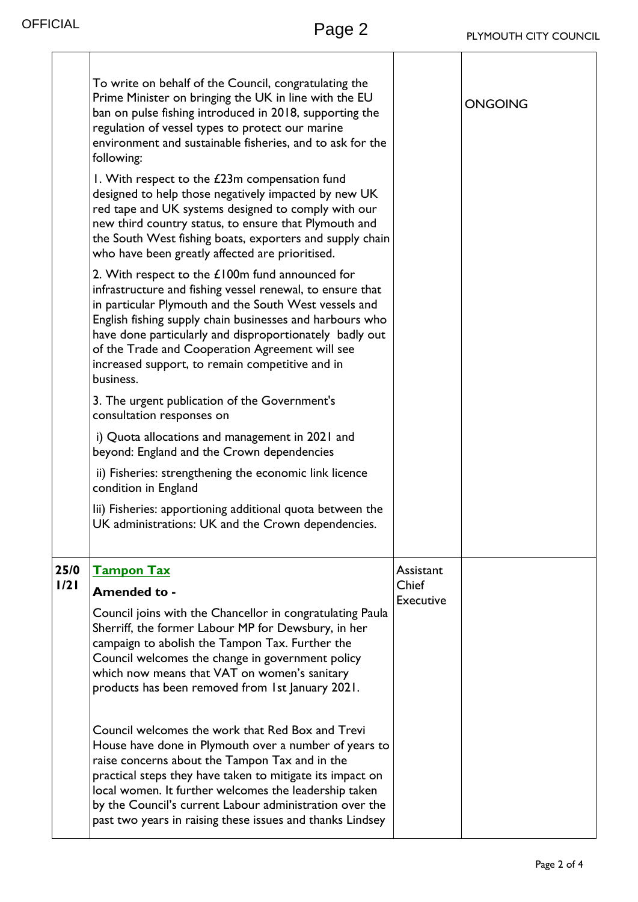٦

|              | To write on behalf of the Council, congratulating the<br>Prime Minister on bringing the UK in line with the EU<br>ban on pulse fishing introduced in 2018, supporting the<br>regulation of vessel types to protect our marine<br>environment and sustainable fisheries, and to ask for the<br>following:<br>I. With respect to the £23m compensation fund<br>designed to help those negatively impacted by new UK<br>red tape and UK systems designed to comply with our<br>new third country status, to ensure that Plymouth and<br>the South West fishing boats, exporters and supply chain<br>who have been greatly affected are prioritised.<br>2. With respect to the £100m fund announced for<br>infrastructure and fishing vessel renewal, to ensure that<br>in particular Plymouth and the South West vessels and<br>English fishing supply chain businesses and harbours who<br>have done particularly and disproportionately badly out<br>of the Trade and Cooperation Agreement will see<br>increased support, to remain competitive and in<br>business.<br>3. The urgent publication of the Government's<br>consultation responses on<br>i) Quota allocations and management in 2021 and<br>beyond: England and the Crown dependencies<br>ii) Fisheries: strengthening the economic link licence<br>condition in England<br>lii) Fisheries: apportioning additional quota between the<br>UK administrations: UK and the Crown dependencies. |                                        | <b>ONGOING</b> |
|--------------|---------------------------------------------------------------------------------------------------------------------------------------------------------------------------------------------------------------------------------------------------------------------------------------------------------------------------------------------------------------------------------------------------------------------------------------------------------------------------------------------------------------------------------------------------------------------------------------------------------------------------------------------------------------------------------------------------------------------------------------------------------------------------------------------------------------------------------------------------------------------------------------------------------------------------------------------------------------------------------------------------------------------------------------------------------------------------------------------------------------------------------------------------------------------------------------------------------------------------------------------------------------------------------------------------------------------------------------------------------------------------------------------------------------------------------------------------------|----------------------------------------|----------------|
| 25/0<br>1/21 | <b>Tampon Tax</b><br>Amended to -<br>Council joins with the Chancellor in congratulating Paula<br>Sherriff, the former Labour MP for Dewsbury, in her<br>campaign to abolish the Tampon Tax. Further the<br>Council welcomes the change in government policy<br>which now means that VAT on women's sanitary<br>products has been removed from 1st January 2021.<br>Council welcomes the work that Red Box and Trevi<br>House have done in Plymouth over a number of years to<br>raise concerns about the Tampon Tax and in the<br>practical steps they have taken to mitigate its impact on<br>local women. It further welcomes the leadership taken<br>by the Council's current Labour administration over the<br>past two years in raising these issues and thanks Lindsey                                                                                                                                                                                                                                                                                                                                                                                                                                                                                                                                                                                                                                                                           | Assistant<br><b>Chief</b><br>Executive |                |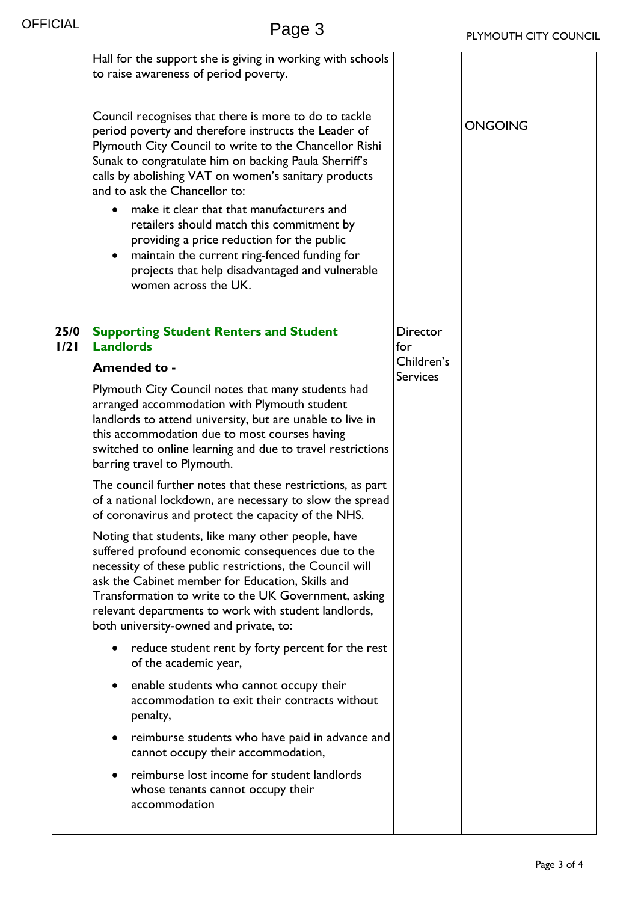|              | Hall for the support she is giving in working with schools<br>to raise awareness of period poverty.<br>Council recognises that there is more to do to tackle<br>period poverty and therefore instructs the Leader of<br>Plymouth City Council to write to the Chancellor Rishi<br>Sunak to congratulate him on backing Paula Sherriff's<br>calls by abolishing VAT on women's sanitary products<br>and to ask the Chancellor to:<br>make it clear that that manufacturers and<br>retailers should match this commitment by<br>providing a price reduction for the public<br>maintain the current ring-fenced funding for<br>projects that help disadvantaged and vulnerable<br>women across the UK. |                               | <b>ONGOING</b> |
|--------------|-----------------------------------------------------------------------------------------------------------------------------------------------------------------------------------------------------------------------------------------------------------------------------------------------------------------------------------------------------------------------------------------------------------------------------------------------------------------------------------------------------------------------------------------------------------------------------------------------------------------------------------------------------------------------------------------------------|-------------------------------|----------------|
| 25/0<br>1/21 | <b>Supporting Student Renters and Student</b><br><b>Landlords</b>                                                                                                                                                                                                                                                                                                                                                                                                                                                                                                                                                                                                                                   | Director<br>for               |                |
|              | Amended to -                                                                                                                                                                                                                                                                                                                                                                                                                                                                                                                                                                                                                                                                                        | Children's<br><b>Services</b> |                |
|              | Plymouth City Council notes that many students had<br>arranged accommodation with Plymouth student<br>landlords to attend university, but are unable to live in<br>this accommodation due to most courses having<br>switched to online learning and due to travel restrictions<br>barring travel to Plymouth.                                                                                                                                                                                                                                                                                                                                                                                       |                               |                |
|              | The council further notes that these restrictions, as part<br>of a national lockdown, are necessary to slow the spread<br>of coronavirus and protect the capacity of the NHS.                                                                                                                                                                                                                                                                                                                                                                                                                                                                                                                       |                               |                |
|              | Noting that students, like many other people, have<br>suffered profound economic consequences due to the<br>necessity of these public restrictions, the Council will<br>ask the Cabinet member for Education, Skills and<br>Transformation to write to the UK Government, asking<br>relevant departments to work with student landlords,<br>both university-owned and private, to:                                                                                                                                                                                                                                                                                                                  |                               |                |
|              | reduce student rent by forty percent for the rest<br>of the academic year,                                                                                                                                                                                                                                                                                                                                                                                                                                                                                                                                                                                                                          |                               |                |
|              | enable students who cannot occupy their<br>٠<br>accommodation to exit their contracts without<br>penalty,                                                                                                                                                                                                                                                                                                                                                                                                                                                                                                                                                                                           |                               |                |
|              | reimburse students who have paid in advance and<br>cannot occupy their accommodation,                                                                                                                                                                                                                                                                                                                                                                                                                                                                                                                                                                                                               |                               |                |
|              | reimburse lost income for student landlords<br>whose tenants cannot occupy their<br>accommodation                                                                                                                                                                                                                                                                                                                                                                                                                                                                                                                                                                                                   |                               |                |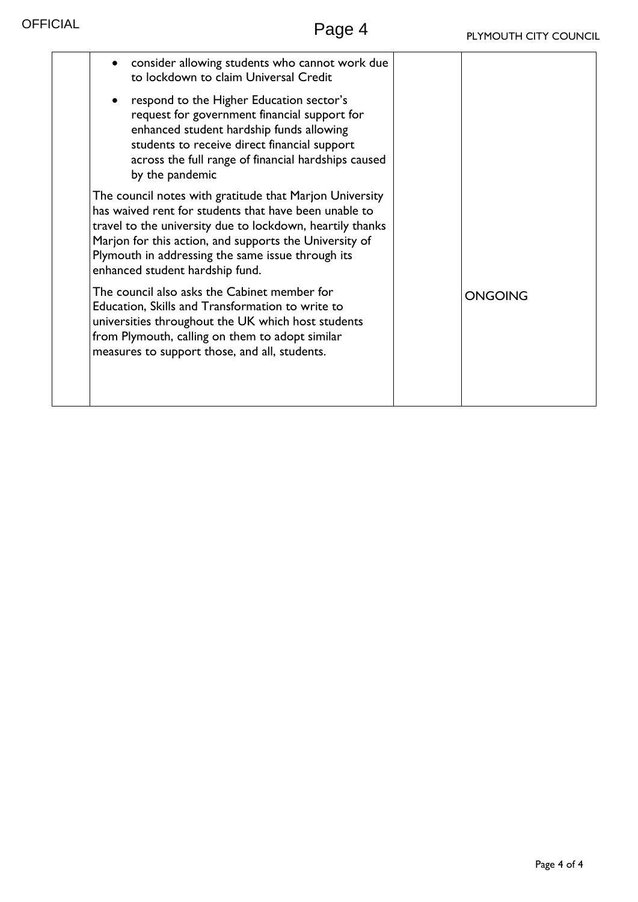| consider allowing students who cannot work due<br>to lockdown to claim Universal Credit                                                                                                                                                                                                                                         |                |
|---------------------------------------------------------------------------------------------------------------------------------------------------------------------------------------------------------------------------------------------------------------------------------------------------------------------------------|----------------|
| respond to the Higher Education sector's<br>request for government financial support for<br>enhanced student hardship funds allowing<br>students to receive direct financial support<br>across the full range of financial hardships caused<br>by the pandemic                                                                  |                |
| The council notes with gratitude that Marjon University<br>has waived rent for students that have been unable to<br>travel to the university due to lockdown, heartily thanks<br>Marjon for this action, and supports the University of<br>Plymouth in addressing the same issue through its<br>enhanced student hardship fund. |                |
| The council also asks the Cabinet member for<br>Education, Skills and Transformation to write to<br>universities throughout the UK which host students<br>from Plymouth, calling on them to adopt similar<br>measures to support those, and all, students.                                                                      | <b>ONGOING</b> |
|                                                                                                                                                                                                                                                                                                                                 |                |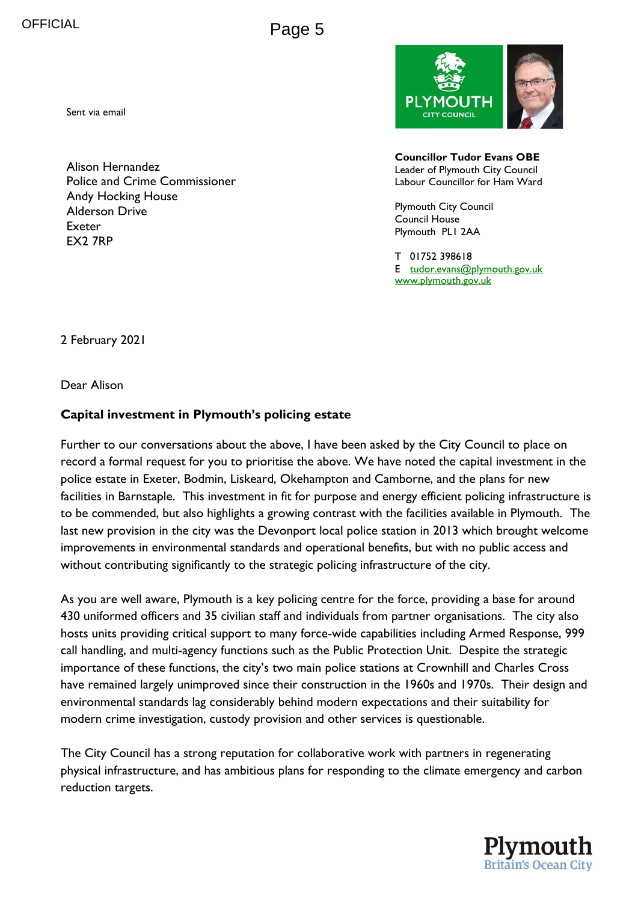Page 5

Sent via email

Alison Hernandez Police and Crime Commissioner Andy Hocking House Alderson Drive Exeter EX2 7RP



**Councillor Tudor Evans OBE** Leader of Plymouth City Council Labour Councillor for Ham Ward

Plymouth City Council Council House Plymouth PL1 2AA

T 01752 398618 E [tudor.evans@plymouth.gov.uk](mailto:tudor.evans@plymouth.gov.uk) [www.plymouth.gov.uk](http://www.plymouth.gov.uk/)

2 February 2021

Dear Alison

#### **Capital investment in Plymouth's policing estate**

Further to our conversations about the above, I have been asked by the City Council to place on record a formal request for you to prioritise the above. We have noted the capital investment in the police estate in Exeter, Bodmin, Liskeard, Okehampton and Camborne, and the plans for new facilities in Barnstaple. This investment in fit for purpose and energy efficient policing infrastructure is to be commended, but also highlights a growing contrast with the facilities available in Plymouth. The last new provision in the city was the Devonport local police station in 2013 which brought welcome improvements in environmental standards and operational benefits, but with no public access and without contributing significantly to the strategic policing infrastructure of the city.

As you are well aware, Plymouth is a key policing centre for the force, providing a base for around 430 uniformed officers and 35 civilian staff and individuals from partner organisations. The city also hosts units providing critical support to many force-wide capabilities including Armed Response, 999 call handling, and multi-agency functions such as the Public Protection Unit. Despite the strategic importance of these functions, the city's two main police stations at Crownhill and Charles Cross have remained largely unimproved since their construction in the 1960s and 1970s. Their design and environmental standards lag considerably behind modern expectations and their suitability for modern crime investigation, custody provision and other services is questionable.

The City Council has a strong reputation for collaborative work with partners in regenerating physical infrastructure, and has ambitious plans for responding to the climate emergency and carbon reduction targets.